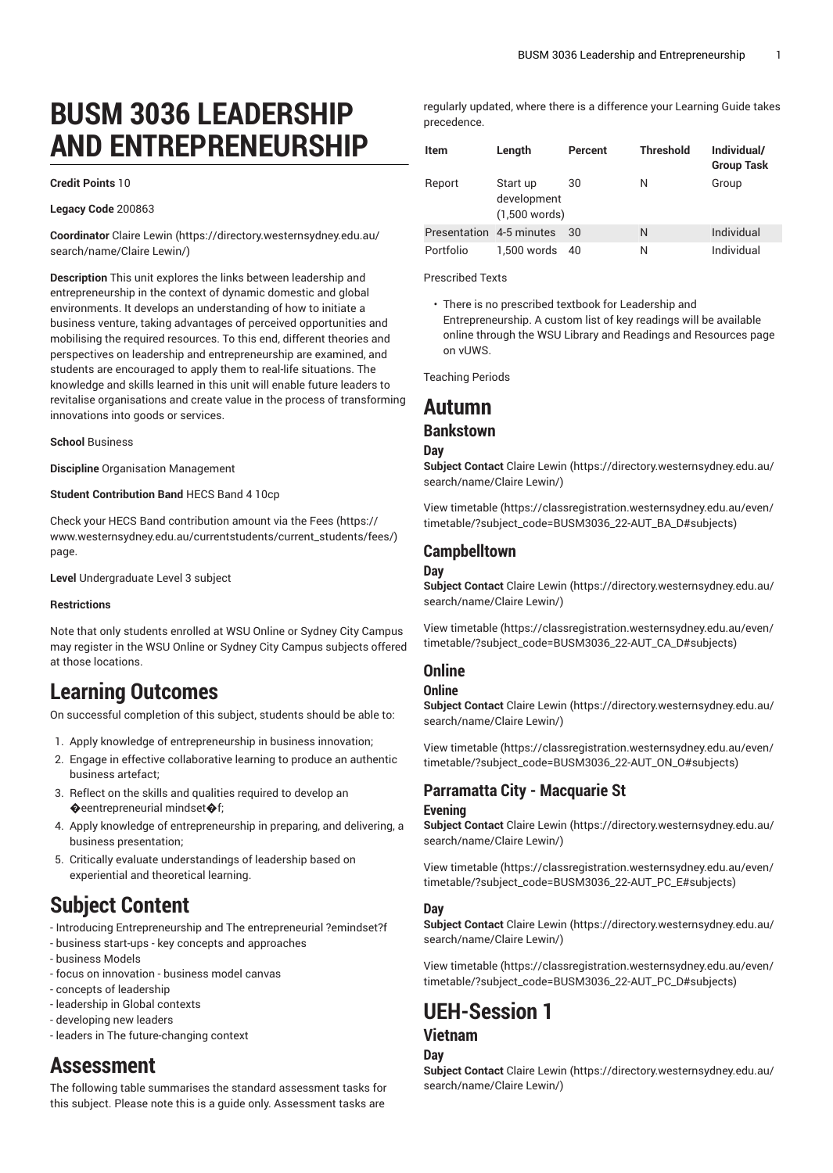# **BUSM 3036 LEADERSHIP AND ENTREPRENEURSHIP**

#### **Credit Points** 10

#### **Legacy Code** 200863

**Coordinator** Claire [Lewin](https://directory.westernsydney.edu.au/search/name/Claire Lewin/) ([https://directory.westernsydney.edu.au/](https://directory.westernsydney.edu.au/search/name/Claire Lewin/) [search/name/Claire](https://directory.westernsydney.edu.au/search/name/Claire Lewin/) Lewin/)

**Description** This unit explores the links between leadership and entrepreneurship in the context of dynamic domestic and global environments. It develops an understanding of how to initiate a business venture, taking advantages of perceived opportunities and mobilising the required resources. To this end, different theories and perspectives on leadership and entrepreneurship are examined, and students are encouraged to apply them to real-life situations. The knowledge and skills learned in this unit will enable future leaders to revitalise organisations and create value in the process of transforming innovations into goods or services.

**School** Business

**Discipline** Organisation Management

#### **Student Contribution Band** HECS Band 4 10cp

Check your HECS Band contribution amount via the [Fees \(https://](https://www.westernsydney.edu.au/currentstudents/current_students/fees/) [www.westernsydney.edu.au/currentstudents/current\\_students/fees/\)](https://www.westernsydney.edu.au/currentstudents/current_students/fees/) page.

**Level** Undergraduate Level 3 subject

#### **Restrictions**

Note that only students enrolled at WSU Online or Sydney City Campus may register in the WSU Online or Sydney City Campus subjects offered at those locations.

# **Learning Outcomes**

On successful completion of this subject, students should be able to:

- 1. Apply knowledge of entrepreneurship in business innovation;
- 2. Engage in effective collaborative learning to produce an authentic business artefact;
- 3. Reflect on the skills and qualities required to develop an �eentrepreneurial mindset�f;
- 4. Apply knowledge of entrepreneurship in preparing, and delivering, a business presentation;
- 5. Critically evaluate understandings of leadership based on experiential and theoretical learning.

# **Subject Content**

- Introducing Entrepreneurship and The entrepreneurial ?emindset?f
- business start-ups key concepts and approaches
- business Models
- focus on innovation business model canvas
- concepts of leadership
- leadership in Global contexts
- developing new leaders
- leaders in The future-changing context

# **Assessment**

The following table summarises the standard assessment tasks for this subject. Please note this is a guide only. Assessment tasks are

regularly updated, where there is a difference your Learning Guide takes precedence.

| Item                     | Length                                     | Percent | <b>Threshold</b> | Individual/<br><b>Group Task</b> |
|--------------------------|--------------------------------------------|---------|------------------|----------------------------------|
| Report                   | Start up<br>development<br>$(1,500$ words) | 30      | Ν                | Group                            |
| Presentation 4-5 minutes |                                            | 30      | N                | Individual                       |
| Portfolio                | 1.500 words                                | 40      | Ν                | Individual                       |

Prescribed Texts

• There is no prescribed textbook for Leadership and Entrepreneurship. A custom list of key readings will be available online through the WSU Library and Readings and Resources page on vUWS.

Teaching Periods

# **Autumn**

## **Bankstown**

#### **Day**

**Subject Contact** Claire [Lewin](https://directory.westernsydney.edu.au/search/name/Claire Lewin/) ([https://directory.westernsydney.edu.au/](https://directory.westernsydney.edu.au/search/name/Claire Lewin/) [search/name/Claire](https://directory.westernsydney.edu.au/search/name/Claire Lewin/) Lewin/)

[View timetable](https://classregistration.westernsydney.edu.au/even/timetable/?subject_code=BUSM3036_22-AUT_BA_D#subjects) [\(https://classregistration.westernsydney.edu.au/even/](https://classregistration.westernsydney.edu.au/even/timetable/?subject_code=BUSM3036_22-AUT_BA_D#subjects) [timetable/?subject\\_code=BUSM3036\\_22-AUT\\_BA\\_D#subjects\)](https://classregistration.westernsydney.edu.au/even/timetable/?subject_code=BUSM3036_22-AUT_BA_D#subjects)

### **Campbelltown**

#### **Day**

**Subject Contact** Claire [Lewin](https://directory.westernsydney.edu.au/search/name/Claire Lewin/) ([https://directory.westernsydney.edu.au/](https://directory.westernsydney.edu.au/search/name/Claire Lewin/) [search/name/Claire](https://directory.westernsydney.edu.au/search/name/Claire Lewin/) Lewin/)

[View timetable](https://classregistration.westernsydney.edu.au/even/timetable/?subject_code=BUSM3036_22-AUT_CA_D#subjects) [\(https://classregistration.westernsydney.edu.au/even/](https://classregistration.westernsydney.edu.au/even/timetable/?subject_code=BUSM3036_22-AUT_CA_D#subjects) [timetable/?subject\\_code=BUSM3036\\_22-AUT\\_CA\\_D#subjects\)](https://classregistration.westernsydney.edu.au/even/timetable/?subject_code=BUSM3036_22-AUT_CA_D#subjects)

# **Online**

## **Online**

**Subject Contact** Claire [Lewin](https://directory.westernsydney.edu.au/search/name/Claire Lewin/) ([https://directory.westernsydney.edu.au/](https://directory.westernsydney.edu.au/search/name/Claire Lewin/) [search/name/Claire](https://directory.westernsydney.edu.au/search/name/Claire Lewin/) Lewin/)

[View timetable](https://classregistration.westernsydney.edu.au/even/timetable/?subject_code=BUSM3036_22-AUT_ON_O#subjects) [\(https://classregistration.westernsydney.edu.au/even/](https://classregistration.westernsydney.edu.au/even/timetable/?subject_code=BUSM3036_22-AUT_ON_O#subjects) [timetable/?subject\\_code=BUSM3036\\_22-AUT\\_ON\\_O#subjects\)](https://classregistration.westernsydney.edu.au/even/timetable/?subject_code=BUSM3036_22-AUT_ON_O#subjects)

## **Parramatta City - Macquarie St**

#### **Evening**

**Subject Contact** Claire [Lewin](https://directory.westernsydney.edu.au/search/name/Claire Lewin/) ([https://directory.westernsydney.edu.au/](https://directory.westernsydney.edu.au/search/name/Claire Lewin/) [search/name/Claire](https://directory.westernsydney.edu.au/search/name/Claire Lewin/) Lewin/)

[View timetable](https://classregistration.westernsydney.edu.au/even/timetable/?subject_code=BUSM3036_22-AUT_PC_E#subjects) [\(https://classregistration.westernsydney.edu.au/even/](https://classregistration.westernsydney.edu.au/even/timetable/?subject_code=BUSM3036_22-AUT_PC_E#subjects) [timetable/?subject\\_code=BUSM3036\\_22-AUT\\_PC\\_E#subjects\)](https://classregistration.westernsydney.edu.au/even/timetable/?subject_code=BUSM3036_22-AUT_PC_E#subjects)

#### **Day**

**Subject Contact** Claire [Lewin](https://directory.westernsydney.edu.au/search/name/Claire Lewin/) ([https://directory.westernsydney.edu.au/](https://directory.westernsydney.edu.au/search/name/Claire Lewin/) [search/name/Claire](https://directory.westernsydney.edu.au/search/name/Claire Lewin/) Lewin/)

[View timetable](https://classregistration.westernsydney.edu.au/even/timetable/?subject_code=BUSM3036_22-AUT_PC_D#subjects) [\(https://classregistration.westernsydney.edu.au/even/](https://classregistration.westernsydney.edu.au/even/timetable/?subject_code=BUSM3036_22-AUT_PC_D#subjects) [timetable/?subject\\_code=BUSM3036\\_22-AUT\\_PC\\_D#subjects](https://classregistration.westernsydney.edu.au/even/timetable/?subject_code=BUSM3036_22-AUT_PC_D#subjects))

# **UEH-Session 1 Vietnam**

# **Day**

**Subject Contact** Claire [Lewin](https://directory.westernsydney.edu.au/search/name/Claire Lewin/) ([https://directory.westernsydney.edu.au/](https://directory.westernsydney.edu.au/search/name/Claire Lewin/) [search/name/Claire](https://directory.westernsydney.edu.au/search/name/Claire Lewin/) Lewin/)